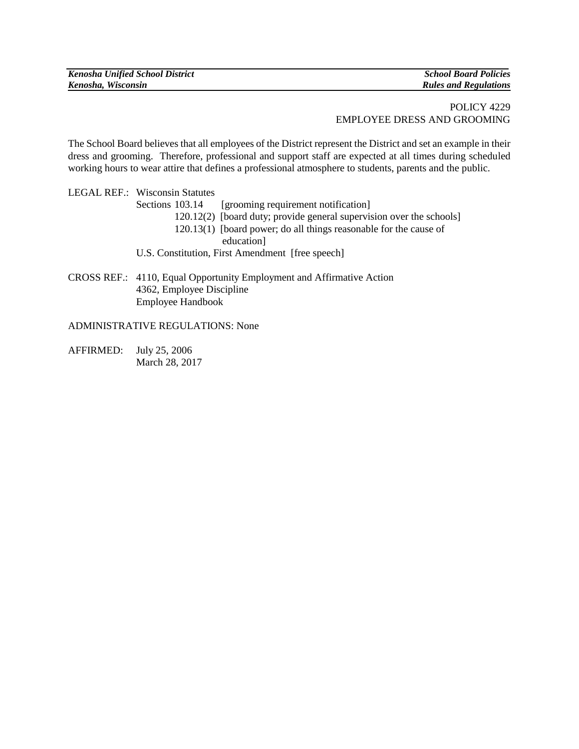| <b>Kenosha Unified School District</b> | <b>School Board Policies</b> |
|----------------------------------------|------------------------------|
| Kenosha, Wisconsin                     | <b>Rules and Regulations</b> |

## POLICY 4229 EMPLOYEE DRESS AND GROOMING

The School Board believes that all employees of the District represent the District and set an example in their dress and grooming. Therefore, professional and support staff are expected at all times during scheduled working hours to wear attire that defines a professional atmosphere to students, parents and the public.

|  | <b>LEGAL REF.: Wisconsin Statutes</b>                                 |
|--|-----------------------------------------------------------------------|
|  | [grooming requirement notification]<br>Sections 103.14                |
|  | 120.12(2) [board duty; provide general supervision over the schools]  |
|  | 120.13(1) [board power; do all things reasonable for the cause of     |
|  | education]                                                            |
|  | U.S. Constitution, First Amendment [free speech]                      |
|  |                                                                       |
|  | CROSS REF.: 4110, Equal Opportunity Employment and Affirmative Action |

4362, Employee Discipline Employee Handbook

## ADMINISTRATIVE REGULATIONS: None

AFFIRMED: July 25, 2006 March 28, 2017